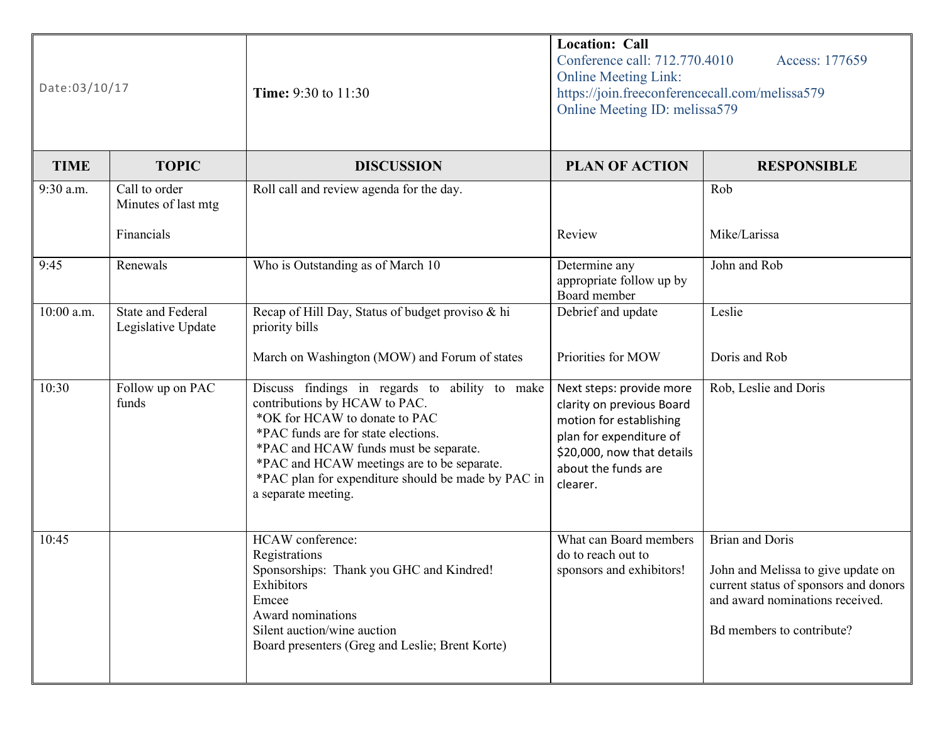| Date:03/10/17 |                                                | <b>Time:</b> 9:30 to 11:30                                                                                                                                                                                                                                                                                                  | <b>Location: Call</b><br>Conference call: 712.770.4010<br>Access: 177659<br><b>Online Meeting Link:</b><br>https://join.freeconferencecall.com/melissa579<br>Online Meeting ID: melissa579 |                                                                                                                                                                       |
|---------------|------------------------------------------------|-----------------------------------------------------------------------------------------------------------------------------------------------------------------------------------------------------------------------------------------------------------------------------------------------------------------------------|--------------------------------------------------------------------------------------------------------------------------------------------------------------------------------------------|-----------------------------------------------------------------------------------------------------------------------------------------------------------------------|
| <b>TIME</b>   | <b>TOPIC</b>                                   | <b>DISCUSSION</b>                                                                                                                                                                                                                                                                                                           | <b>PLAN OF ACTION</b>                                                                                                                                                                      | <b>RESPONSIBLE</b>                                                                                                                                                    |
| 9:30 a.m.     | Call to order<br>Minutes of last mtg           | Roll call and review agenda for the day.                                                                                                                                                                                                                                                                                    |                                                                                                                                                                                            | Rob                                                                                                                                                                   |
|               | Financials                                     |                                                                                                                                                                                                                                                                                                                             | Review                                                                                                                                                                                     | Mike/Larissa                                                                                                                                                          |
| 9:45          | Renewals                                       | Who is Outstanding as of March 10                                                                                                                                                                                                                                                                                           | Determine any<br>appropriate follow up by<br>Board member                                                                                                                                  | John and Rob                                                                                                                                                          |
| 10:00 a.m.    | <b>State and Federal</b><br>Legislative Update | Recap of Hill Day, Status of budget proviso & hi<br>priority bills                                                                                                                                                                                                                                                          | Debrief and update                                                                                                                                                                         | Leslie                                                                                                                                                                |
|               |                                                | March on Washington (MOW) and Forum of states                                                                                                                                                                                                                                                                               | Priorities for MOW                                                                                                                                                                         | Doris and Rob                                                                                                                                                         |
| 10:30         | Follow up on PAC<br>funds                      | Discuss findings in regards to ability to make<br>contributions by HCAW to PAC.<br>*OK for HCAW to donate to PAC<br>*PAC funds are for state elections.<br>*PAC and HCAW funds must be separate.<br>*PAC and HCAW meetings are to be separate.<br>*PAC plan for expenditure should be made by PAC in<br>a separate meeting. | Next steps: provide more<br>clarity on previous Board<br>motion for establishing<br>plan for expenditure of<br>\$20,000, now that details<br>about the funds are<br>clearer.               | Rob, Leslie and Doris                                                                                                                                                 |
| 10:45         |                                                | HCAW conference:<br>Registrations<br>Sponsorships: Thank you GHC and Kindred!<br>Exhibitors<br>Emcee<br>Award nominations<br>Silent auction/wine auction<br>Board presenters (Greg and Leslie; Brent Korte)                                                                                                                 | What can Board members<br>do to reach out to<br>sponsors and exhibitors!                                                                                                                   | <b>Brian and Doris</b><br>John and Melissa to give update on<br>current status of sponsors and donors<br>and award nominations received.<br>Bd members to contribute? |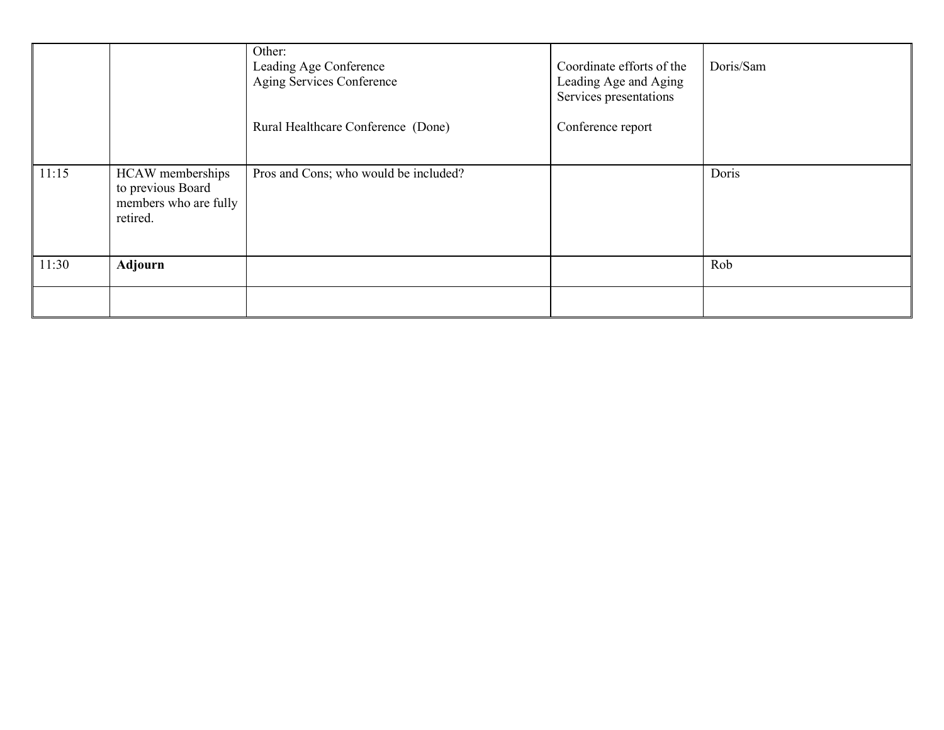|       |                                                                            | Other:<br>Leading Age Conference<br>Aging Services Conference<br>Rural Healthcare Conference (Done) | Coordinate efforts of the<br>Leading Age and Aging<br>Services presentations<br>Conference report | Doris/Sam |
|-------|----------------------------------------------------------------------------|-----------------------------------------------------------------------------------------------------|---------------------------------------------------------------------------------------------------|-----------|
| 11:15 | HCAW memberships<br>to previous Board<br>members who are fully<br>retired. | Pros and Cons; who would be included?                                                               |                                                                                                   | Doris     |
| 11:30 | <b>Adjourn</b>                                                             |                                                                                                     |                                                                                                   | Rob       |
|       |                                                                            |                                                                                                     |                                                                                                   |           |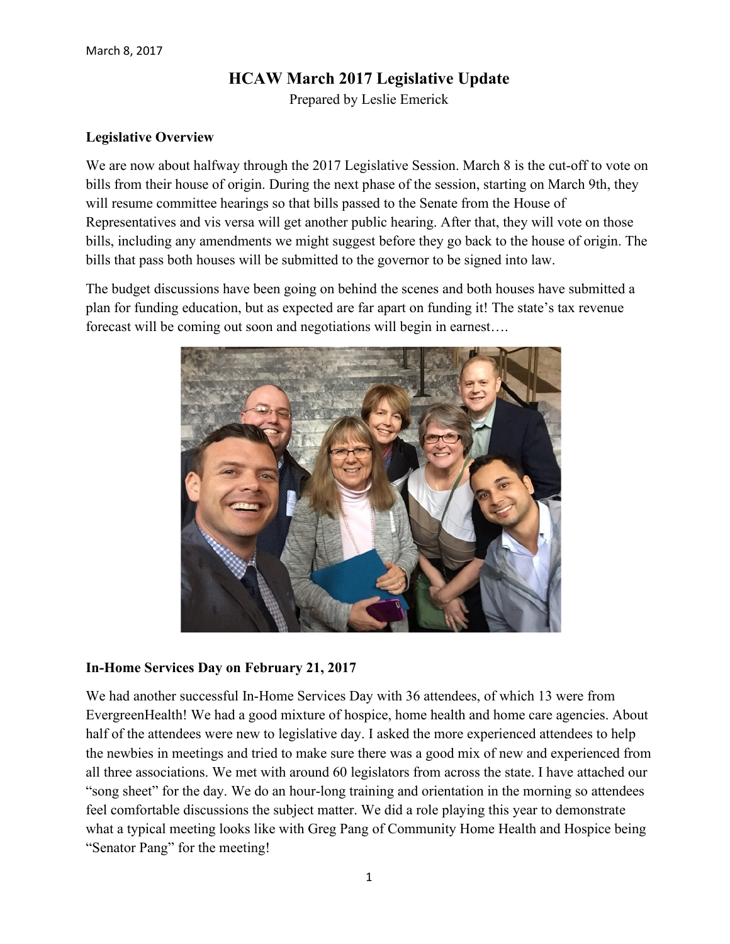# **HCAW March 2017 Legislative Update**

Prepared by Leslie Emerick

### **Legislative Overview**

We are now about halfway through the 2017 Legislative Session. March 8 is the cut-off to vote on bills from their house of origin. During the next phase of the session, starting on March 9th, they will resume committee hearings so that bills passed to the Senate from the House of Representatives and vis versa will get another public hearing. After that, they will vote on those bills, including any amendments we might suggest before they go back to the house of origin. The bills that pass both houses will be submitted to the governor to be signed into law.

The budget discussions have been going on behind the scenes and both houses have submitted a plan for funding education, but as expected are far apart on funding it! The state's tax revenue forecast will be coming out soon and negotiations will begin in earnest….



#### **In-Home Services Day on February 21, 2017**

We had another successful In-Home Services Day with 36 attendees, of which 13 were from EvergreenHealth! We had a good mixture of hospice, home health and home care agencies. About half of the attendees were new to legislative day. I asked the more experienced attendees to help the newbies in meetings and tried to make sure there was a good mix of new and experienced from all three associations. We met with around 60 legislators from across the state. I have attached our "song sheet" for the day. We do an hour-long training and orientation in the morning so attendees feel comfortable discussions the subject matter. We did a role playing this year to demonstrate what a typical meeting looks like with Greg Pang of Community Home Health and Hospice being "Senator Pang" for the meeting!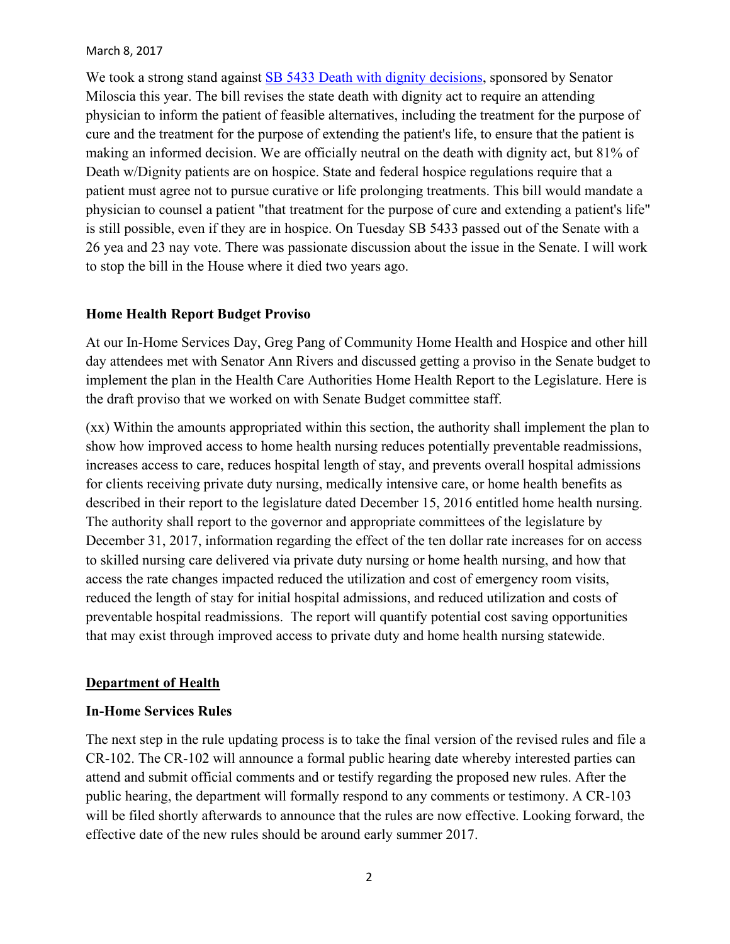#### March 8, 2017

We took a strong stand against [SB 5433 Death with dignity decisions,](http://app.leg.wa.gov/billsummary?BillNumber=5433&Year=2017) sponsored by Senator Miloscia this year. The bill revises the state death with dignity act to require an attending physician to inform the patient of feasible alternatives, including the treatment for the purpose of cure and the treatment for the purpose of extending the patient's life, to ensure that the patient is making an informed decision. We are officially neutral on the death with dignity act, but 81% of Death w/Dignity patients are on hospice. State and federal hospice regulations require that a patient must agree not to pursue curative or life prolonging treatments. This bill would mandate a physician to counsel a patient "that treatment for the purpose of cure and extending a patient's life" is still possible, even if they are in hospice. On Tuesday SB 5433 passed out of the Senate with a 26 yea and 23 nay vote. There was passionate discussion about the issue in the Senate. I will work to stop the bill in the House where it died two years ago.

#### **Home Health Report Budget Proviso**

At our In-Home Services Day, Greg Pang of Community Home Health and Hospice and other hill day attendees met with Senator Ann Rivers and discussed getting a proviso in the Senate budget to implement the plan in the Health Care Authorities Home Health Report to the Legislature. Here is the draft proviso that we worked on with Senate Budget committee staff.

(xx) Within the amounts appropriated within this section, the authority shall implement the plan to show how improved access to home health nursing reduces potentially preventable readmissions, increases access to care, reduces hospital length of stay, and prevents overall hospital admissions for clients receiving private duty nursing, medically intensive care, or home health benefits as described in their report to the legislature dated December 15, 2016 entitled home health nursing. The authority shall report to the governor and appropriate committees of the legislature by December 31, 2017, information regarding the effect of the ten dollar rate increases for on access to skilled nursing care delivered via private duty nursing or home health nursing, and how that access the rate changes impacted reduced the utilization and cost of emergency room visits, reduced the length of stay for initial hospital admissions, and reduced utilization and costs of preventable hospital readmissions. The report will quantify potential cost saving opportunities that may exist through improved access to private duty and home health nursing statewide.

#### **Department of Health**

#### **In-Home Services Rules**

The next step in the rule updating process is to take the final version of the revised rules and file a CR-102. The CR-102 will announce a formal public hearing date whereby interested parties can attend and submit official comments and or testify regarding the proposed new rules. After the public hearing, the department will formally respond to any comments or testimony. A CR-103 will be filed shortly afterwards to announce that the rules are now effective. Looking forward, the effective date of the new rules should be around early summer 2017.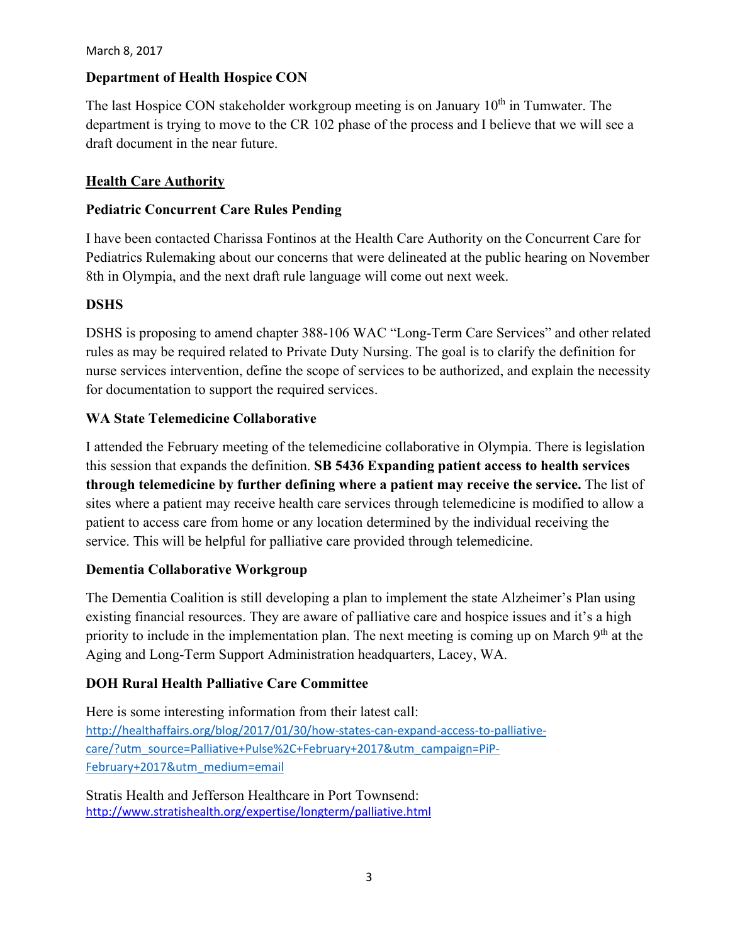#### March 8, 2017

## **Department of Health Hospice CON**

The last Hospice CON stakeholder workgroup meeting is on January  $10<sup>th</sup>$  in Tumwater. The department is trying to move to the CR 102 phase of the process and I believe that we will see a draft document in the near future.

## **Health Care Authority**

### **Pediatric Concurrent Care Rules Pending**

I have been contacted Charissa Fontinos at the Health Care Authority on the Concurrent Care for Pediatrics Rulemaking about our concerns that were delineated at the public hearing on November 8th in Olympia, and the next draft rule language will come out next week.

### **DSHS**

DSHS is proposing to amend chapter 388-106 WAC "Long-Term Care Services" and other related rules as may be required related to Private Duty Nursing. The goal is to clarify the definition for nurse services intervention, define the scope of services to be authorized, and explain the necessity for documentation to support the required services.

### **WA State Telemedicine Collaborative**

I attended the February meeting of the telemedicine collaborative in Olympia. There is legislation this session that expands the definition. **SB 5436 Expanding patient access to health services through telemedicine by further defining where a patient may receive the service.** The list of sites where a patient may receive health care services through telemedicine is modified to allow a patient to access care from home or any location determined by the individual receiving the service. This will be helpful for palliative care provided through telemedicine.

### **Dementia Collaborative Workgroup**

The Dementia Coalition is still developing a plan to implement the state Alzheimer's Plan using existing financial resources. They are aware of palliative care and hospice issues and it's a high priority to include in the implementation plan. The next meeting is coming up on March  $9<sup>th</sup>$  at the Aging and Long-Term Support Administration headquarters, Lacey, WA.

### **DOH Rural Health Palliative Care Committee**

Here is some interesting information from their latest call: [http://healthaffairs.org/blog/2017/01/30/how-states-can-expand-access-to-palliative](http://healthaffairs.org/blog/2017/01/30/how-states-can-expand-access-to-palliative-care/?utm_source=Palliative+Pulse%2C+February+2017&utm_campaign=PiP-February+2017&utm_medium=email)[care/?utm\\_source=Palliative+Pulse%2C+February+2017&utm\\_campaign=PiP-](http://healthaffairs.org/blog/2017/01/30/how-states-can-expand-access-to-palliative-care/?utm_source=Palliative+Pulse%2C+February+2017&utm_campaign=PiP-February+2017&utm_medium=email)[February+2017&utm\\_medium=email](http://healthaffairs.org/blog/2017/01/30/how-states-can-expand-access-to-palliative-care/?utm_source=Palliative+Pulse%2C+February+2017&utm_campaign=PiP-February+2017&utm_medium=email)

Stratis Health and Jefferson Healthcare in Port Townsend: <http://www.stratishealth.org/expertise/longterm/palliative.html>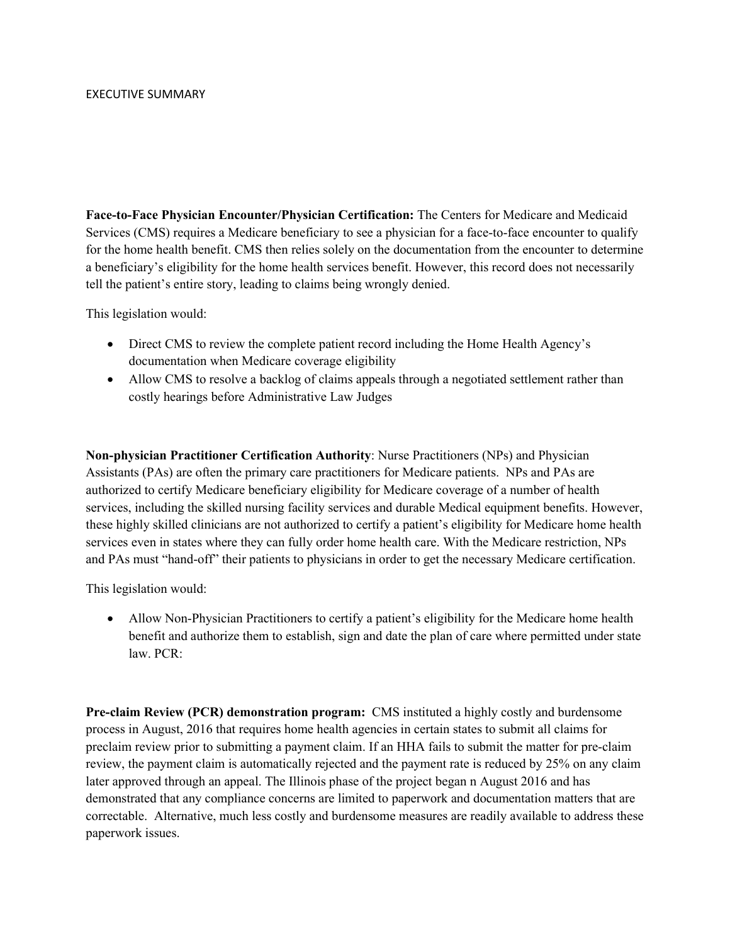**Face-to-Face Physician Encounter/Physician Certification:** The Centers for Medicare and Medicaid Services (CMS) requires a Medicare beneficiary to see a physician for a face-to-face encounter to qualify for the home health benefit. CMS then relies solely on the documentation from the encounter to determine a beneficiary's eligibility for the home health services benefit. However, this record does not necessarily tell the patient's entire story, leading to claims being wrongly denied.

This legislation would:

- Direct CMS to review the complete patient record including the Home Health Agency's documentation when Medicare coverage eligibility
- Allow CMS to resolve a backlog of claims appeals through a negotiated settlement rather than costly hearings before Administrative Law Judges

**Non-physician Practitioner Certification Authority**: Nurse Practitioners (NPs) and Physician Assistants (PAs) are often the primary care practitioners for Medicare patients. NPs and PAs are authorized to certify Medicare beneficiary eligibility for Medicare coverage of a number of health services, including the skilled nursing facility services and durable Medical equipment benefits. However, these highly skilled clinicians are not authorized to certify a patient's eligibility for Medicare home health services even in states where they can fully order home health care. With the Medicare restriction, NPs and PAs must "hand-off" their patients to physicians in order to get the necessary Medicare certification.

This legislation would:

• Allow Non-Physician Practitioners to certify a patient's eligibility for the Medicare home health benefit and authorize them to establish, sign and date the plan of care where permitted under state law. PCR:

**Pre-claim Review (PCR) demonstration program:** CMS instituted a highly costly and burdensome process in August, 2016 that requires home health agencies in certain states to submit all claims for preclaim review prior to submitting a payment claim. If an HHA fails to submit the matter for pre-claim review, the payment claim is automatically rejected and the payment rate is reduced by 25% on any claim later approved through an appeal. The Illinois phase of the project began n August 2016 and has demonstrated that any compliance concerns are limited to paperwork and documentation matters that are correctable. Alternative, much less costly and burdensome measures are readily available to address these paperwork issues.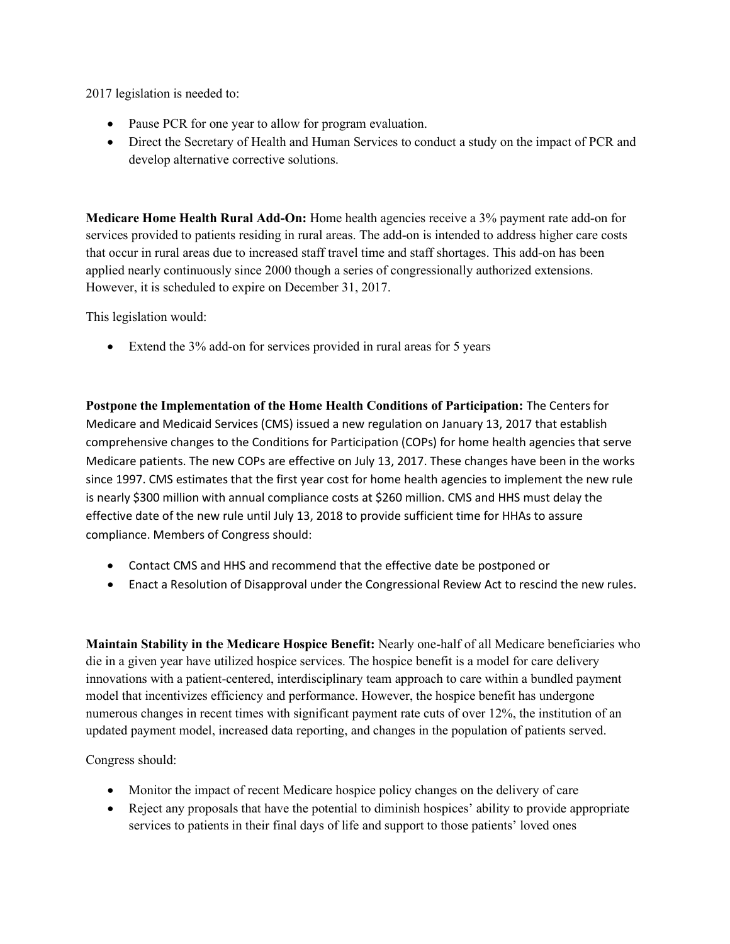2017 legislation is needed to:

- Pause PCR for one year to allow for program evaluation.
- Direct the Secretary of Health and Human Services to conduct a study on the impact of PCR and develop alternative corrective solutions.

**Medicare Home Health Rural Add-On:** Home health agencies receive a 3% payment rate add-on for services provided to patients residing in rural areas. The add-on is intended to address higher care costs that occur in rural areas due to increased staff travel time and staff shortages. This add-on has been applied nearly continuously since 2000 though a series of congressionally authorized extensions. However, it is scheduled to expire on December 31, 2017.

This legislation would:

• Extend the 3% add-on for services provided in rural areas for 5 years

**Postpone the Implementation of the Home Health Conditions of Participation:** The Centers for Medicare and Medicaid Services (CMS) issued a new regulation on January 13, 2017 that establish comprehensive changes to the Conditions for Participation (COPs) for home health agencies that serve Medicare patients. The new COPs are effective on July 13, 2017. These changes have been in the works since 1997. CMS estimates that the first year cost for home health agencies to implement the new rule is nearly \$300 million with annual compliance costs at \$260 million. CMS and HHS must delay the effective date of the new rule until July 13, 2018 to provide sufficient time for HHAs to assure compliance. Members of Congress should:

- Contact CMS and HHS and recommend that the effective date be postponed or
- Enact a Resolution of Disapproval under the Congressional Review Act to rescind the new rules.

**Maintain Stability in the Medicare Hospice Benefit:** Nearly one-half of all Medicare beneficiaries who die in a given year have utilized hospice services. The hospice benefit is a model for care delivery innovations with a patient-centered, interdisciplinary team approach to care within a bundled payment model that incentivizes efficiency and performance. However, the hospice benefit has undergone numerous changes in recent times with significant payment rate cuts of over 12%, the institution of an updated payment model, increased data reporting, and changes in the population of patients served.

Congress should:

- Monitor the impact of recent Medicare hospice policy changes on the delivery of care
- Reject any proposals that have the potential to diminish hospices' ability to provide appropriate services to patients in their final days of life and support to those patients' loved ones